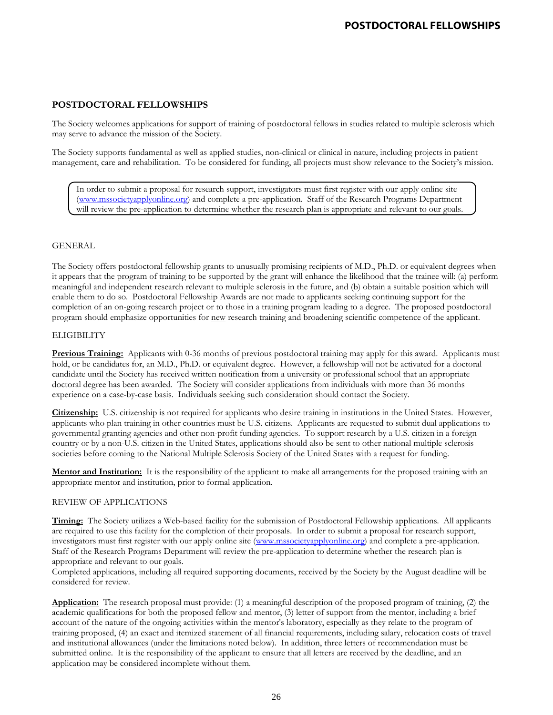The Society welcomes applications for support of training of postdoctoral fellows in studies related to multiple sclerosis which may serve to advance the mission of the Society.

The Society supports fundamental as well as applied studies, non-clinical or clinical in nature, including projects in patient management, care and rehabilitation. To be considered for funding, all projects must show relevance to the Society's mission.

In order to submit a proposal for research support, investigators must first register with our apply online site [\(www.mssocietyapplyonline.org\)](http://www.mssocietyapplyonline.org/) and complete a pre-application. Staff of the Research Programs Department will review the pre-application to determine whether the research plan is appropriate and relevant to our goals.

### **GENERAL**

The Society offers postdoctoral fellowship grants to unusually promising recipients of M.D., Ph.D. or equivalent degrees when it appears that the program of training to be supported by the grant will enhance the likelihood that the trainee will: (a) perform meaningful and independent research relevant to multiple sclerosis in the future, and (b) obtain a suitable position which will enable them to do so. Postdoctoral Fellowship Awards are not made to applicants seeking continuing support for the completion of an on-going research project or to those in a training program leading to a degree. The proposed postdoctoral program should emphasize opportunities for new research training and broadening scientific competence of the applicant.

### **ELIGIBILITY**

**Previous Training:** Applicants with 0-36 months of previous postdoctoral training may apply for this award. Applicants must hold, or be candidates for, an M.D., Ph.D. or equivalent degree. However, a fellowship will not be activated for a doctoral candidate until the Society has received written notification from a university or professional school that an appropriate doctoral degree has been awarded. The Society will consider applications from individuals with more than 36 months experience on a case-by-case basis. Individuals seeking such consideration should contact the Society.

**Citizenship:** U.S. citizenship is not required for applicants who desire training in institutions in the United States. However, applicants who plan training in other countries must be U.S. citizens. Applicants are requested to submit dual applications to governmental granting agencies and other non-profit funding agencies. To support research by a U.S. citizen in a foreign country or by a non-U.S. citizen in the United States, applications should also be sent to other national multiple sclerosis societies before coming to the National Multiple Sclerosis Society of the United States with a request for funding.

**Mentor and Institution:** It is the responsibility of the applicant to make all arrangements for the proposed training with an appropriate mentor and institution, prior to formal application.

#### REVIEW OF APPLICATIONS

**Timing:** The Society utilizes a Web-based facility for the submission of Postdoctoral Fellowship applications. All applicants are required to use this facility for the completion of their proposals. In order to submit a proposal for research support, investigators must first register with our apply online site [\(www.mssocietyapplyonline.org\)](http://www.mssocietyapplyonline.org/) and complete a pre-application. Staff of the Research Programs Department will review the pre-application to determine whether the research plan is appropriate and relevant to our goals.

Completed applications, including all required supporting documents, received by the Society by the August deadline will be considered for review.

**Application:** The research proposal must provide: (1) a meaningful description of the proposed program of training, (2) the academic qualifications for both the proposed fellow and mentor, (3) letter of support from the mentor, including a brief account of the nature of the ongoing activities within the mentor's laboratory, especially as they relate to the program of training proposed, (4) an exact and itemized statement of all financial requirements, including salary, relocation costs of travel and institutional allowances (under the limitations noted below). In addition, three letters of recommendation must be submitted online. It is the responsibility of the applicant to ensure that all letters are received by the deadline, and an application may be considered incomplete without them.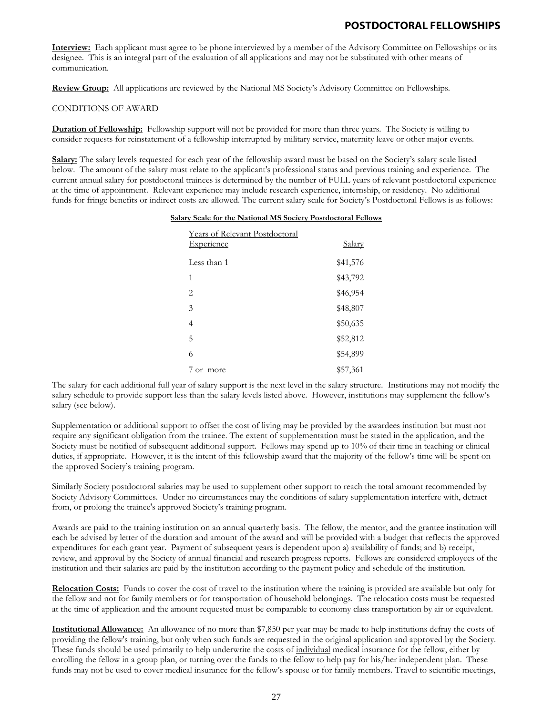**Interview:** Each applicant must agree to be phone interviewed by a member of the Advisory Committee on Fellowships or its designee. This is an integral part of the evaluation of all applications and may not be substituted with other means of communication.

**Review Group:** All applications are reviewed by the National MS Society's Advisory Committee on Fellowships.

#### CONDITIONS OF AWARD

**Duration of Fellowship:** Fellowship support will not be provided for more than three years. The Society is willing to consider requests for reinstatement of a fellowship interrupted by military service, maternity leave or other major events.

**Salary:** The salary levels requested for each year of the fellowship award must be based on the Society's salary scale listed below. The amount of the salary must relate to the applicant's professional status and previous training and experience. The current annual salary for postdoctoral trainees is determined by the number of FULL years of relevant postdoctoral experience at the time of appointment. Relevant experience may include research experience, internship, or residency. No additional funds for fringe benefits or indirect costs are allowed. The current salary scale for Society's Postdoctoral Fellows is as follows:

#### **Salary Scale for the National MS Society Postdoctoral Fellows**

| <b>Years of Relevant Postdoctoral</b> |               |
|---------------------------------------|---------------|
| <b>Experience</b>                     | <u>Salary</u> |
| Less than 1                           | \$41,576      |
| 1                                     | \$43,792      |
| $\overline{2}$                        | \$46,954      |
| 3                                     | \$48,807      |
| 4                                     | \$50,635      |
| 5                                     | \$52,812      |
| 6                                     | \$54,899      |
| 7 or more                             | \$57,361      |

The salary for each additional full year of salary support is the next level in the salary structure. Institutions may not modify the salary schedule to provide support less than the salary levels listed above. However, institutions may supplement the fellow's salary (see below).

Supplementation or additional support to offset the cost of living may be provided by the awardees institution but must not require any significant obligation from the trainee. The extent of supplementation must be stated in the application, and the Society must be notified of subsequent additional support. Fellows may spend up to 10% of their time in teaching or clinical duties, if appropriate. However, it is the intent of this fellowship award that the majority of the fellow's time will be spent on the approved Society's training program.

Similarly Society postdoctoral salaries may be used to supplement other support to reach the total amount recommended by Society Advisory Committees. Under no circumstances may the conditions of salary supplementation interfere with, detract from, or prolong the trainee's approved Society's training program.

Awards are paid to the training institution on an annual quarterly basis. The fellow, the mentor, and the grantee institution will each be advised by letter of the duration and amount of the award and will be provided with a budget that reflects the approved expenditures for each grant year. Payment of subsequent years is dependent upon a) availability of funds; and b) receipt, review, and approval by the Society of annual financial and research progress reports. Fellows are considered employees of the institution and their salaries are paid by the institution according to the payment policy and schedule of the institution.

**Relocation Costs:** Funds to cover the cost of travel to the institution where the training is provided are available but only for the fellow and not for family members or for transportation of household belongings. The relocation costs must be requested at the time of application and the amount requested must be comparable to economy class transportation by air or equivalent.

**Institutional Allowance:** An allowance of no more than \$7,850 per year may be made to help institutions defray the costs of providing the fellow's training, but only when such funds are requested in the original application and approved by the Society. These funds should be used primarily to help underwrite the costs of individual medical insurance for the fellow, either by enrolling the fellow in a group plan, or turning over the funds to the fellow to help pay for his/her independent plan. These funds may not be used to cover medical insurance for the fellow's spouse or for family members. Travel to scientific meetings,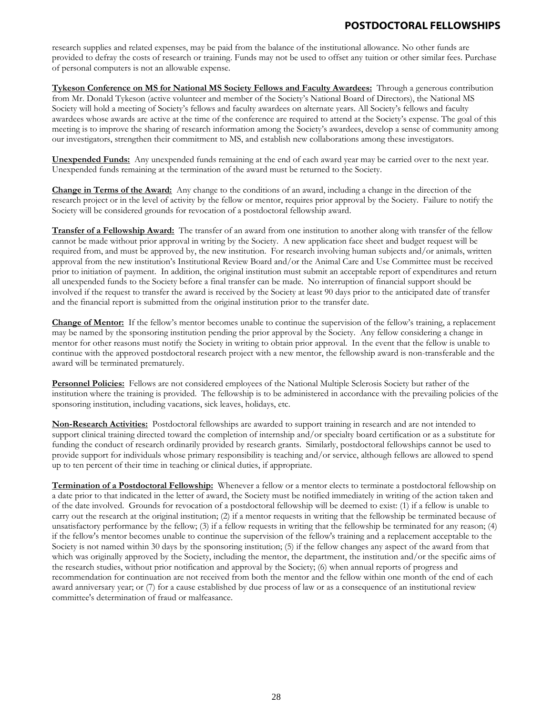research supplies and related expenses, may be paid from the balance of the institutional allowance. No other funds are provided to defray the costs of research or training. Funds may not be used to offset any tuition or other similar fees. Purchase of personal computers is not an allowable expense.

**Tykeson Conference on MS for National MS Society Fellows and Faculty Awardees:** Through a generous contribution from Mr. Donald Tykeson (active volunteer and member of the Society's National Board of Directors), the National MS Society will hold a meeting of Society's fellows and faculty awardees on alternate years. All Society's fellows and faculty awardees whose awards are active at the time of the conference are required to attend at the Society's expense. The goal of this meeting is to improve the sharing of research information among the Society's awardees, develop a sense of community among our investigators, strengthen their commitment to MS, and establish new collaborations among these investigators.

**Unexpended Funds:** Any unexpended funds remaining at the end of each award year may be carried over to the next year. Unexpended funds remaining at the termination of the award must be returned to the Society.

**Change in Terms of the Award:** Any change to the conditions of an award, including a change in the direction of the research project or in the level of activity by the fellow or mentor, requires prior approval by the Society. Failure to notify the Society will be considered grounds for revocation of a postdoctoral fellowship award.

**Transfer of a Fellowship Award:** The transfer of an award from one institution to another along with transfer of the fellow cannot be made without prior approval in writing by the Society. A new application face sheet and budget request will be required from, and must be approved by, the new institution. For research involving human subjects and/or animals, written approval from the new institution's Institutional Review Board and/or the Animal Care and Use Committee must be received prior to initiation of payment. In addition, the original institution must submit an acceptable report of expenditures and return all unexpended funds to the Society before a final transfer can be made. No interruption of financial support should be involved if the request to transfer the award is received by the Society at least 90 days prior to the anticipated date of transfer and the financial report is submitted from the original institution prior to the transfer date.

**Change of Mentor:** If the fellow's mentor becomes unable to continue the supervision of the fellow's training, a replacement may be named by the sponsoring institution pending the prior approval by the Society. Any fellow considering a change in mentor for other reasons must notify the Society in writing to obtain prior approval. In the event that the fellow is unable to continue with the approved postdoctoral research project with a new mentor, the fellowship award is non-transferable and the award will be terminated prematurely.

**Personnel Policies:** Fellows are not considered employees of the National Multiple Sclerosis Society but rather of the institution where the training is provided. The fellowship is to be administered in accordance with the prevailing policies of the sponsoring institution, including vacations, sick leaves, holidays, etc.

**Non-Research Activities:** Postdoctoral fellowships are awarded to support training in research and are not intended to support clinical training directed toward the completion of internship and/or specialty board certification or as a substitute for funding the conduct of research ordinarily provided by research grants. Similarly, postdoctoral fellowships cannot be used to provide support for individuals whose primary responsibility is teaching and/or service, although fellows are allowed to spend up to ten percent of their time in teaching or clinical duties, if appropriate.

**Termination of a Postdoctoral Fellowship:** Whenever a fellow or a mentor elects to terminate a postdoctoral fellowship on a date prior to that indicated in the letter of award, the Society must be notified immediately in writing of the action taken and of the date involved. Grounds for revocation of a postdoctoral fellowship will be deemed to exist: (1) if a fellow is unable to carry out the research at the original institution; (2) if a mentor requests in writing that the fellowship be terminated because of unsatisfactory performance by the fellow; (3) if a fellow requests in writing that the fellowship be terminated for any reason; (4) if the fellow's mentor becomes unable to continue the supervision of the fellow's training and a replacement acceptable to the Society is not named within 30 days by the sponsoring institution; (5) if the fellow changes any aspect of the award from that which was originally approved by the Society, including the mentor, the department, the institution and/or the specific aims of the research studies, without prior notification and approval by the Society; (6) when annual reports of progress and recommendation for continuation are not received from both the mentor and the fellow within one month of the end of each award anniversary year; or (7) for a cause established by due process of law or as a consequence of an institutional review committee's determination of fraud or malfeasance.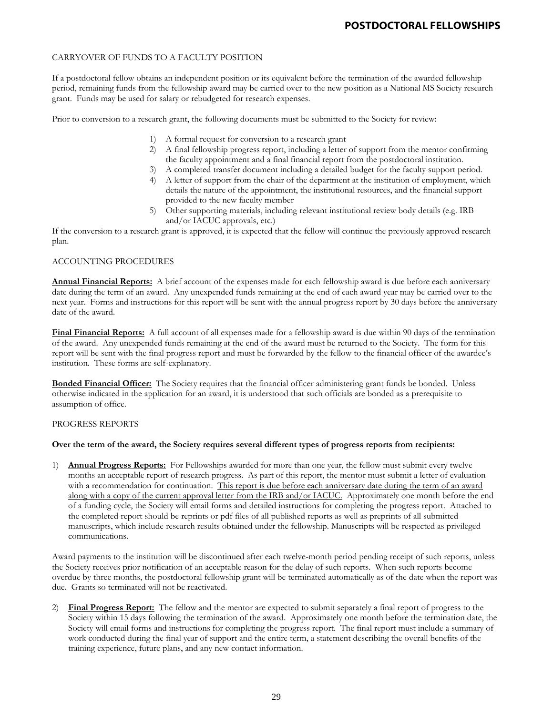## CARRYOVER OF FUNDS TO A FACULTY POSITION

If a postdoctoral fellow obtains an independent position or its equivalent before the termination of the awarded fellowship period, remaining funds from the fellowship award may be carried over to the new position as a National MS Society research grant. Funds may be used for salary or rebudgeted for research expenses.

Prior to conversion to a research grant, the following documents must be submitted to the Society for review:

- 1) A formal request for conversion to a research grant
- 2) A final fellowship progress report, including a letter of support from the mentor confirming the faculty appointment and a final financial report from the postdoctoral institution.
- 3) A completed transfer document including a detailed budget for the faculty support period.
- 4) A letter of support from the chair of the department at the institution of employment, which details the nature of the appointment, the institutional resources, and the financial support provided to the new faculty member
- 5) Other supporting materials, including relevant institutional review body details (e.g. IRB and/or IACUC approvals, etc.)

If the conversion to a research grant is approved, it is expected that the fellow will continue the previously approved research plan.

### ACCOUNTING PROCEDURES

**Annual Financial Reports:** A brief account of the expenses made for each fellowship award is due before each anniversary date during the term of an award. Any unexpended funds remaining at the end of each award year may be carried over to the next year. Forms and instructions for this report will be sent with the annual progress report by 30 days before the anniversary date of the award.

**Final Financial Reports:** A full account of all expenses made for a fellowship award is due within 90 days of the termination of the award. Any unexpended funds remaining at the end of the award must be returned to the Society. The form for this report will be sent with the final progress report and must be forwarded by the fellow to the financial officer of the awardee's institution. These forms are self-explanatory.

**Bonded Financial Officer:** The Society requires that the financial officer administering grant funds be bonded. Unless otherwise indicated in the application for an award, it is understood that such officials are bonded as a prerequisite to assumption of office.

#### PROGRESS REPORTS

## **Over the term of the award, the Society requires several different types of progress reports from recipients:**

1) **Annual Progress Reports:** For Fellowships awarded for more than one year, the fellow must submit every twelve months an acceptable report of research progress. As part of this report, the mentor must submit a letter of evaluation with a recommendation for continuation. This report is due before each anniversary date during the term of an award along with a copy of the current approval letter from the IRB and/or IACUC. Approximately one month before the end of a funding cycle, the Society will email forms and detailed instructions for completing the progress report. Attached to the completed report should be reprints or pdf files of all published reports as well as preprints of all submitted manuscripts, which include research results obtained under the fellowship. Manuscripts will be respected as privileged communications.

Award payments to the institution will be discontinued after each twelve-month period pending receipt of such reports, unless the Society receives prior notification of an acceptable reason for the delay of such reports. When such reports become overdue by three months, the postdoctoral fellowship grant will be terminated automatically as of the date when the report was due. Grants so terminated will not be reactivated.

2) **Final Progress Report:** The fellow and the mentor are expected to submit separately a final report of progress to the Society within 15 days following the termination of the award. Approximately one month before the termination date, the Society will email forms and instructions for completing the progress report. The final report must include a summary of work conducted during the final year of support and the entire term, a statement describing the overall benefits of the training experience, future plans, and any new contact information.